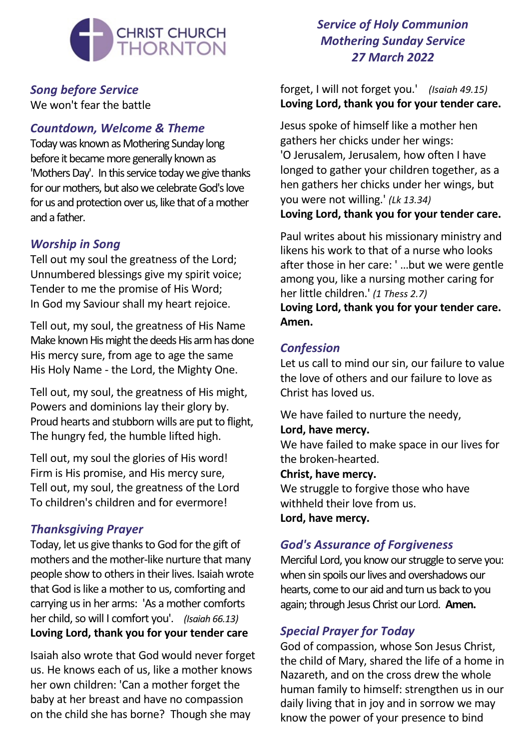

### *Song before Service*

We won't fear the battle

## *Countdown, Welcome & Theme*

Today was known as Mothering Sunday long before it became more generally known as 'Mothers Day'. In this service today we give thanks for our mothers, but also we celebrate God's love for us and protection over us, like that of a mother anda father.

## *Worship in Song*

Tell out my soul the greatness of the Lord; Unnumbered blessings give my spirit voice; Tender to me the promise of His Word; In God my Saviour shall my heart rejoice.

 Tell out, my soul, the greatness of His Name Make known His might the deeds His arm has done His mercy sure, from age to age the same His Holy Name - the Lord, the Mighty One.

Tell out, my soul, the greatness of His might, Powers and dominions lay their glory by. Proud hearts and stubborn wills are put to flight, The hungry fed, the humble lifted high.

 Tell out, my soul the glories of His word! Firm is His promise, and His mercy sure, Tell out, my soul, the greatness of the Lord To children's children and for evermore!

## *Thanksgiving Prayer*

Today, let us give thanks to God for the gift of mothers and the mother-like nurture that many people show to others in their lives. Isaiah wrote that God is like a mother to us, comforting and carrying us in her arms: 'As a mother comforts her child, so will I comfort you'. *(Isaiah 66.13)* **Loving Lord, thank you for your tender care**

Isaiah also wrote that God would never forget us. He knows each of us, like a mother knows her own children: 'Can a mother forget the baby at her breast and have no compassion on the child she has borne? Though she may

# *Service of Holy Communion Mothering Sunday Service 27 March 2022*

## forget, I will not forget you.' *(Isaiah 49.15)* **Loving Lord, thank you for your tender care.**

Jesus spoke of himself like a mother hen gathers her chicks under her wings: 'O Jerusalem, Jerusalem, how often I have longed to gather your children together, as a hen gathers her chicks under her wings, but you were not willing.' *(Lk 13.34)*

### **Loving Lord, thank you for your tender care.**

Paul writes about his missionary ministry and likens his work to that of a nurse who looks after those in her care: ' …but we were gentle among you, like a nursing mother caring for her little children.' *(1 Thess 2.7)* **Loving Lord, thank you for your tender care. Amen.**

## *Confession*

Let us call to mind our sin, our failure to value the love of others and our failure to love as Christ has loved us.

We have failed to nurture the needy,

### **Lord, have mercy.**

We have failed to make space in our lives for the broken-hearted.

#### **Christ, have mercy.**

We struggle to forgive those who have withheld their love from us. **Lord, have mercy.**

## *God's Assurance of Forgiveness*

Merciful Lord, you know our struggle to serve you: when sin spoils our lives and overshadows our hearts, come to our aid and turn us back to you again; through Jesus Christ our Lord. **Amen.** 

## *Special Prayer for Today*

God of compassion, whose Son Jesus Christ, the child of Mary, shared the life of a home in Nazareth, and on the cross drew the whole human family to himself: strengthen us in our daily living that in joy and in sorrow we may know the power of your presence to bind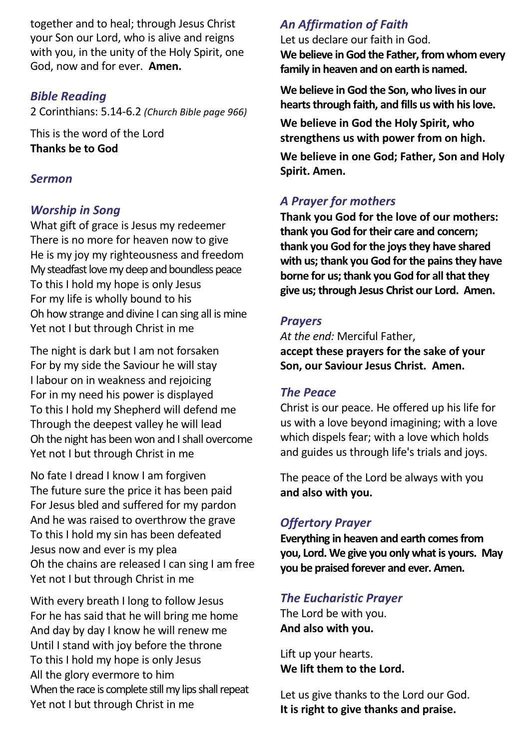together and to heal; through Jesus Christ your Son our Lord, who is alive and reigns with you, in the unity of the Holy Spirit, one God, now and for ever. **Amen.**

### *Bible Reading*

2 Corinthians: 5.14-6.2 *(Church Bible page 966)*

This is the word of the Lord **Thanks be to God**

#### *Sermon*

### *Worship in Song*

What gift of grace is Jesus my redeemer There is no more for heaven now to give He is my joy my righteousness and freedom My steadfast love my deep and boundless peace To this I hold my hope is only Jesus For my life is wholly bound to his Oh how strange and divine I can sing all is mine Yet not I but through Christ in me

The night is dark but I am not forsaken For by my side the Saviour he will stay I labour on in weakness and rejoicing For in my need his power is displayed To this I hold my Shepherd will defend me Through the deepest valley he will lead Oh the night has been won and I shall overcome Yet not I but through Christ in me

No fate I dread I know I am forgiven The future sure the price it has been paid For Jesus bled and suffered for my pardon And he was raised to overthrow the grave To this I hold my sin has been defeated Jesus now and ever is my plea Oh the chains are released I can sing I am free Yet not I but through Christ in me

With every breath I long to follow Jesus For he has said that he will bring me home And day by day I know he will renew me Until I stand with joy before the throne To this I hold my hope is only Jesus All the glory evermore to him When the race is complete still my lips shall repeat Yet not I but through Christ in me

## *An Affirmation of Faith*

Let us declare our faith in God.

**We believe inGod the Father, from whom every family in heaven and on earth is named.**

**We believe in God the Son, who livesin our heartsthrough faith, and fills us with hislove.**

**We believe in God the Holy Spirit, who strengthens us with power from on high. We believe in one God; Father, Son and Holy Spirit. Amen.**

## *A Prayer for mothers*

**Thank you God for the love of our mothers: thank you God fortheir care and concern; thank you God forthe joysthey have shared with us;thank you God forthe painsthey have borne** for us; thank you God for all that they **give us;through Jesus Christ our Lord. Amen.**

#### *Prayers*

*At the end:* Merciful Father, **accept these prayers for the sake of your Son, our Saviour Jesus Christ. Amen.**

#### *The Peace*

Christ is our peace. He offered up his life for us with a love beyond imagining; with a love which dispels fear; with a love which holds and guides us through life's trials and joys.

The peace of the Lord be always with you **and also with you.**

### *Offertory Prayer*

**Everything in heaven and earth comes from you, Lord. We give you only whatis yours. May you be praised forever and ever. Amen.**

## *The Eucharistic Prayer*

The Lord be with you. **And also with you.**

Lift up your hearts. **We lift them to the Lord.**

Let us give thanks to the Lord our God. **It is right to give thanks and praise.**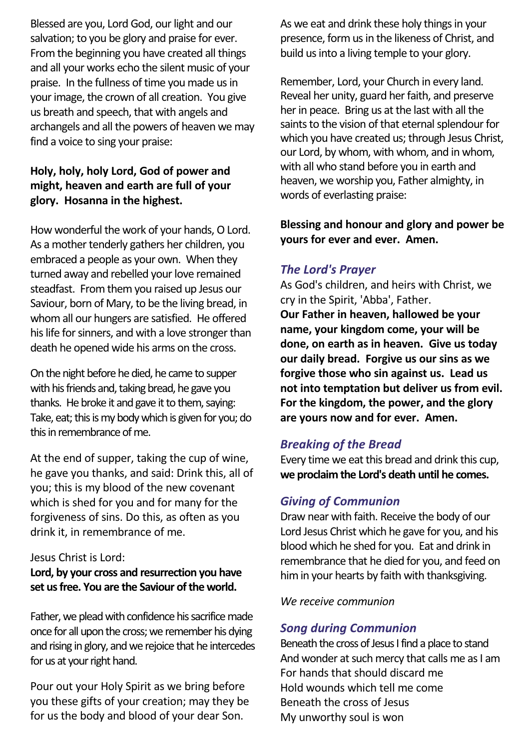Blessed are you, Lord God, our light and our salvation; to you be glory and praise for ever. Fromthe beginning you have created all things and all your works echo the silent music of your praise. In the fullness of time you made us in your image, the crown of all creation. You give us breath and speech, that with angels and archangels and all the powers of heaven we may find a voice to sing your praise:

### **Holy, holy, holy Lord, God of power and might, heaven and earth are full of your glory. Hosanna in the highest.**

How wonderful the work of your hands, OLord. As a mother tenderly gathers her children, you embraced a people as your own. When they turned away and rebelled your love remained steadfast. From them you raised up Jesus our Saviour, born of Mary, to be the living bread, in whomall our hungers are satisfied. He offered his life for sinners, and with a love stronger than death he opened wide his arms on the cross.

On the night before he died, he came to supper with his friends and, taking bread, he gave you thanks. He broke it and gave it to them, saying: Take, eat; this is my body which is given for you; do this in remembrance of me.

At the end of supper, taking the cup of wine, he gave you thanks, and said: Drink this, all of you; this is my blood of the new covenant which is shed for you and for many for the forgiveness of sins. Do this, as often as you drink it, in remembrance of me.

#### Jesus Christ is Lord:

#### **Lord, by your cross and resurrection you have set usfree. You are the Saviour ofthe world.**

Father, we plead with confidence his sacrifice made once for all upon the cross; we remember his dying and rising in glory, and we rejoice that he intercedes for us at your right hand.

Pour out your Holy Spirit as we bring before you these gifts of your creation; may they be for us the body and blood of your dear Son.

As we eat and drink these holy things in your presence, form us in the likeness of Christ, and build us into a living temple to your glory.

Remember, Lord, your Church in every land. Reveal her unity, guard her faith, and preserve her in peace. Bring us at the last with all the saints to the vision of that eternal splendour for which you have created us; through Jesus Christ, our Lord, by whom, with whom, and in whom, with all who stand before you in earth and heaven, we worship you, Father almighty, in words of everlasting praise:

**Blessing and honour and glory and power be yours for ever and ever. Amen.**

### *The Lord's Prayer*

As God's children, and heirs with Christ, we cry in the Spirit, 'Abba', Father. **Our Father in heaven, hallowed be your name, your kingdom come, your will be done, on earth as in heaven. Give us today our daily bread. Forgive us our sins as we forgive those who sin against us. Lead us not into temptation but deliver us from evil. For the kingdom, the power, and the glory are yours now and for ever. Amen.**

### *Breaking of the Bread*

Every time we eat this bread and drink this cup, **we proclaim the Lord's death until he comes.**

### *Giving of Communion*

Draw near with faith. Receive the body of our Lord Jesus Christ which he gave for you, and his blood which he shed for you. Eat and drink in remembrance that he died for you, and feed on him in your hearts by faith with thanksgiving.

*We receive communion*

#### *Song during Communion*

Beneath the cross of Jesus I find a place to stand And wonder at such mercy that calls me as I am For hands that should discard me Hold wounds which tell me come Beneath the cross of Jesus My unworthy soul is won